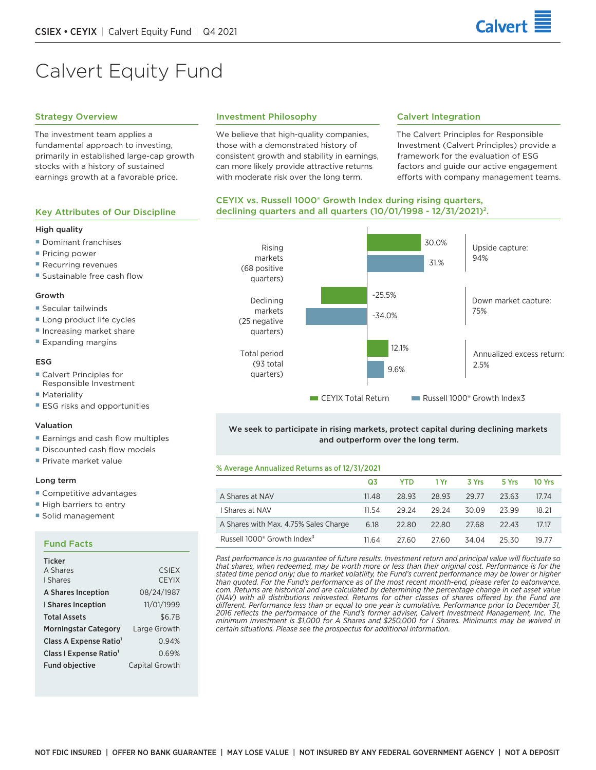

# Calvert Equity Fund

# Strategy Overview

The investment team applies a fundamental approach to investing, primarily in established large-cap growth stocks with a history of sustained earnings growth at a favorable price.

# Key Attributes of Our Discipline

## High quality

- **Dominant franchises**
- **Pricing power**
- **Recurring revenues**
- Sustainable free cash flow

## Growth

- Secular tailwinds
- Long product life cycles
- **Increasing market share**
- **Expanding margins**

# ESG

- Calvert Principles for
- Responsible Investment
- Materiality
- **ESG** risks and opportunities

#### Valuation

- **Earnings and cash flow multiples**
- Discounted cash flow models
- **Private market value**

### Long term

- Competitive advantages
- High barriers to entry
- Solid management

## Fund Facts

| <b>Ticker</b>                      |                |
|------------------------------------|----------------|
| A Shares                           | <b>CSIFX</b>   |
| <b>I</b> Shares                    | <b>CEYIX</b>   |
| A Shares Inception                 | 08/24/1987     |
| I Shares Inception                 | 11/01/1999     |
| <b>Total Assets</b>                | \$6.7B         |
| <b>Morningstar Category</b>        | Large Growth   |
| Class A Expense Ratio <sup>1</sup> | 0.94%          |
| Class I Expense Ratio <sup>1</sup> | 0.69%          |
| <b>Fund objective</b>              | Capital Growth |

# Investment Philosophy

We believe that high-quality companies, those with a demonstrated history of consistent growth and stability in earnings, can more likely provide attractive returns with moderate risk over the long term.

## Calvert Integration

The Calvert Principles for Responsible Investment (Calvert Principles) provide a framework for the evaluation of ESG factors and guide our active engagement efforts with company management teams.

# CEYIX vs. Russell 1000® Growth Index during rising quarters, declining quarters and all quarters (10/01/1998 - 12/31/2021)2.



We seek to participate in rising markets, protect capital during declining markets and outperform over the long term.

## % Average Annualized Returns as of 12/31/2021

|                                                     | Q3    | <b>YTD</b> | 1 Yr  | 3 Yrs | 5 Yrs | <b>10 Yrs</b> |
|-----------------------------------------------------|-------|------------|-------|-------|-------|---------------|
| A Shares at NAV                                     | 11.48 | 28.93      | 28.93 | 29.77 | 23.63 | 17.74         |
| I Shares at NAV                                     | 11.54 | 29.24      | 29.24 | 30.09 | 23.99 | 18.21         |
| A Shares with Max. 4.75% Sales Charge               | 6.18  | 22.80      | 22.80 | 27.68 | 22.43 | 17.17         |
| Russell 1000 <sup>®</sup> Growth Index <sup>3</sup> | 11.64 | 27.60      | 27.60 | 34.04 | 25.30 | 19.77         |

*Past performance is no guarantee of future results. Investment return and principal value will fluctuate so that shares, when redeemed, may be worth more or less than their original cost. Performance is for the stated time period only; due to market volatility, the Fund's current performance may be lower or higher than quoted. For the Fund's performance as of the most recent month-end, please refer to eatonvance. com. Returns are historical and are calculated by determining the percentage change in net asset value (NAV) with all distributions reinvested. Returns for other classes of shares offered by the Fund are different. Performance less than or equal to one year is cumulative. Performance prior to December 31, 2016 reflects the performance of the Fund's former adviser, Calvert Investment Management, Inc. The minimum investment is \$1,000 for A Shares and \$250,000 for I Shares. Minimums may be waived in certain situations. Please see the prospectus for additional information.*